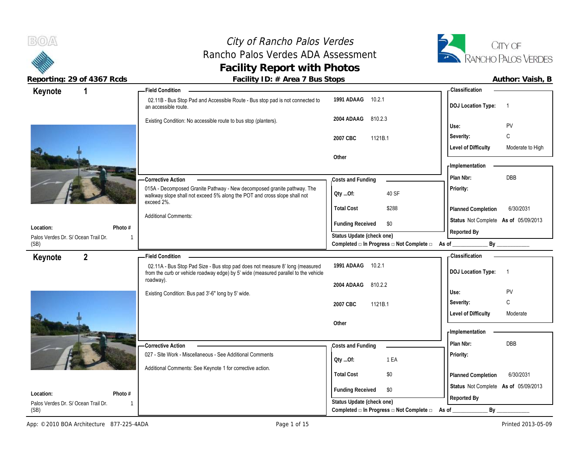# City of Rancho Palos Verdes Rancho Palos Verdes ADA Assessment **Facility Report with Photos**



| Keynote<br>1                                     |                           | <b>Field Condition</b>                                                                                                                                              |                                                             | -Classification                                |
|--------------------------------------------------|---------------------------|---------------------------------------------------------------------------------------------------------------------------------------------------------------------|-------------------------------------------------------------|------------------------------------------------|
|                                                  |                           | 02.11B - Bus Stop Pad and Accessible Route - Bus stop pad is not connected to<br>an accessible route.                                                               | 1991 ADAAG<br>10.2.1                                        | <b>DOJ Location Type:</b><br>$\overline{1}$    |
|                                                  |                           | Existing Condition: No accessible route to bus stop (planters).                                                                                                     | 810.2.3<br>2004 ADAAG                                       | <b>PV</b><br>Use:                              |
|                                                  |                           |                                                                                                                                                                     | 1121B.1<br>2007 CBC                                         | $\mathsf C$<br>Severity:                       |
|                                                  |                           |                                                                                                                                                                     |                                                             | <b>Level of Difficulty</b><br>Moderate to High |
|                                                  |                           |                                                                                                                                                                     | Other                                                       |                                                |
|                                                  |                           |                                                                                                                                                                     |                                                             | - Implementation                               |
|                                                  |                           | <b>Corrective Action</b>                                                                                                                                            | Costs and Funding                                           | <b>DBB</b><br>Plan Nbr:                        |
|                                                  |                           | 015A - Decomposed Granite Pathway - New decomposed granite pathway. The<br>walkway slope shall not exceed 5% along the POT and cross slope shall not                | 40 SF<br>QtyOf:                                             | Priority:                                      |
|                                                  |                           | exceed 2%.                                                                                                                                                          | <b>Total Cost</b><br>\$288                                  | 6/30/2031<br>Planned Completion                |
|                                                  |                           | <b>Additional Comments:</b>                                                                                                                                         | <b>Funding Received</b><br>\$0                              | Status Not Complete As of 05/09/2013           |
| Location:<br>Palos Verdes Dr. S/ Ocean Trail Dr. | Photo #<br>$\overline{1}$ |                                                                                                                                                                     | Status Update (check one)                                   | Reported By                                    |
| (SB)                                             |                           |                                                                                                                                                                     | Completed □ In Progress □ Not Complete □ As of              | By                                             |
| $\overline{2}$<br>Keynote                        |                           | <b>Field Condition</b>                                                                                                                                              |                                                             | <b>Classification</b>                          |
|                                                  |                           | 02.11A - Bus Stop Pad Size - Bus stop pad does not measure 8' long (measured<br>from the curb or vehicle roadway edge) by 5' wide (measured parallel to the vehicle | 1991 ADAAG<br>10.2.1                                        | <b>DOJ Location Type:</b><br>-1                |
|                                                  |                           |                                                                                                                                                                     |                                                             |                                                |
|                                                  |                           | roadway).                                                                                                                                                           | 2004 ADAAG<br>810.2.2                                       |                                                |
|                                                  |                           | Existing Condition: Bus pad 3'-6" long by 5' wide.                                                                                                                  |                                                             | PV<br>Use:                                     |
|                                                  |                           |                                                                                                                                                                     | 2007 CBC<br>1121B.1                                         | C<br>Severity:                                 |
|                                                  |                           |                                                                                                                                                                     |                                                             | <b>Level of Difficulty</b><br>Moderate         |
|                                                  |                           |                                                                                                                                                                     | Other                                                       | - Implementation                               |
|                                                  |                           |                                                                                                                                                                     |                                                             | Plan Nbr:<br><b>DBB</b>                        |
|                                                  |                           | -Corrective Action<br>027 - Site Work - Miscellaneous - See Additional Comments                                                                                     | Costs and Funding                                           |                                                |
|                                                  |                           |                                                                                                                                                                     | 1 EA<br>Oty Of:                                             | Priority:                                      |
|                                                  |                           | Additional Comments: See Keynote 1 for corrective action.                                                                                                           | <b>Total Cost</b><br>\$0                                    | 6/30/2031<br>Planned Completion                |
|                                                  |                           |                                                                                                                                                                     |                                                             | Status Not Complete As of 05/09/2013           |
| Location:<br>Palos Verdes Dr. S/ Ocean Trail Dr. | Photo #<br>-1             |                                                                                                                                                                     | <b>Funding Received</b><br>\$0<br>Status Update (check one) | Reported By                                    |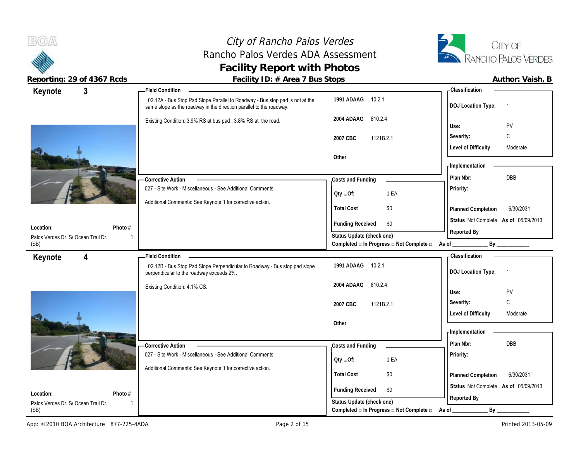## City of Rancho Palos Verdes Rancho Palos Verdes ADA Assessment **Facility Report with Photos**



| 3<br>Keynote                                                | - Field Condition                                                                                                                                   |                                                  | <b>Classification</b>                       |
|-------------------------------------------------------------|-----------------------------------------------------------------------------------------------------------------------------------------------------|--------------------------------------------------|---------------------------------------------|
|                                                             | 02.12A - Bus Stop Pad Slope Parallel to Roadway - Bus stop pad is not at the<br>same slope as the roadway in the direction parallel to the roadway. | 1991 ADAAG<br>10.2.1                             | <b>DOJ Location Type:</b><br>$\overline{1}$ |
|                                                             | Existing Condition: 3.9% RS at bus pad, 3.8% RS at the road.                                                                                        | 2004 ADAAG<br>810.2.4                            | PV<br>Use:                                  |
|                                                             |                                                                                                                                                     |                                                  | C<br>Severity:                              |
|                                                             |                                                                                                                                                     | 1121B.2.1<br>2007 CBC                            |                                             |
|                                                             |                                                                                                                                                     |                                                  | <b>Level of Difficulty</b><br>Moderate      |
|                                                             |                                                                                                                                                     | Other                                            | - Implementation                            |
|                                                             |                                                                                                                                                     |                                                  | DBB<br>Plan Nbr:                            |
|                                                             | -Corrective Action                                                                                                                                  | Costs and Funding                                |                                             |
|                                                             | 027 - Site Work - Miscellaneous - See Additional Comments                                                                                           | 1 EA<br>QtyOf:                                   | Priority:                                   |
|                                                             | Additional Comments: See Keynote 1 for corrective action.                                                                                           | <b>Total Cost</b><br>\$0                         | 6/30/2031<br>Planned Completion             |
|                                                             |                                                                                                                                                     |                                                  | Status Not Complete As of 05/09/2013        |
| Photo #<br>Location:                                        |                                                                                                                                                     | <b>Funding Received</b><br>\$0                   | Reported By                                 |
| Palos Verdes Dr. S/ Ocean Trail Dr.                         | $\mathbf 1$                                                                                                                                         | Status Update (check one)                        |                                             |
| (SB)                                                        |                                                                                                                                                     | Completed □ In Progress □ Not Complete □ As of _ | By                                          |
| $\overline{\mathbf{4}}$<br>Keynote                          | <b>Field Condition</b>                                                                                                                              |                                                  | - Classification                            |
|                                                             | 02.12B - Bus Stop Pad Slope Perpendicular to Roadway - Bus stop pad slope<br>perpendicular to the roadway exceeds 2%.                               | 1991 ADAAG 10.2.1                                | <b>DOJ Location Type:</b><br>$\overline{1}$ |
|                                                             | Existing Condition: 4.1% CS.                                                                                                                        | 2004 ADAAG<br>810.2.4                            |                                             |
|                                                             |                                                                                                                                                     |                                                  | <b>PV</b><br>Use:                           |
|                                                             |                                                                                                                                                     |                                                  |                                             |
|                                                             |                                                                                                                                                     | 1121B.2.1<br>2007 CBC                            | C<br>Severity:                              |
|                                                             |                                                                                                                                                     |                                                  | <b>Level of Difficulty</b><br>Moderate      |
|                                                             |                                                                                                                                                     | Other                                            |                                             |
|                                                             |                                                                                                                                                     |                                                  | <b>Implementation</b>                       |
|                                                             | -Corrective Action                                                                                                                                  | Costs and Funding                                | Plan Nbr:<br><b>DBB</b>                     |
|                                                             | 027 - Site Work - Miscellaneous - See Additional Comments                                                                                           |                                                  | Priority:                                   |
|                                                             | Additional Comments: See Keynote 1 for corrective action.                                                                                           | 1 EA<br>Oty Of:                                  |                                             |
|                                                             |                                                                                                                                                     | <b>Total Cost</b><br>\$0                         | 6/30/2031<br>Planned Completion             |
|                                                             |                                                                                                                                                     | <b>Funding Received</b><br>\$0                   | Status Not Complete As of 05/09/2013        |
| Location:<br>Photo #<br>Palos Verdes Dr. S/ Ocean Trail Dr. | $\mathbf{1}$                                                                                                                                        | Status Update (check one)                        | Reported By                                 |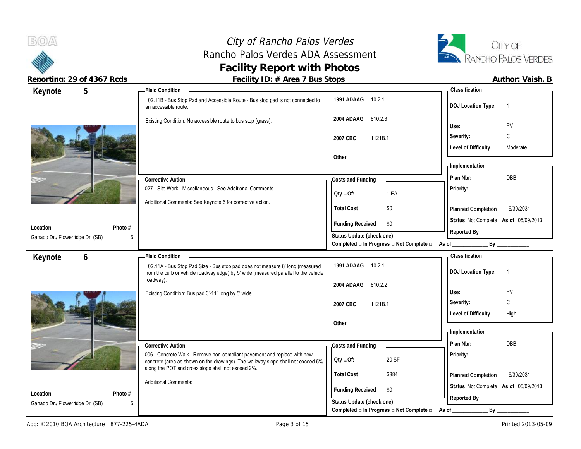# City of Rancho Palos Verdes Rancho Palos Verdes ADA Assessment **Facility Report with Photos**



| Status Not Complete As of 05/09/2013 |
|--------------------------------------|
|                                      |
|                                      |
|                                      |
|                                      |
|                                      |
|                                      |
|                                      |
|                                      |
|                                      |
|                                      |
|                                      |
|                                      |
|                                      |
|                                      |
| Status Not Complete As of 05/09/2013 |
|                                      |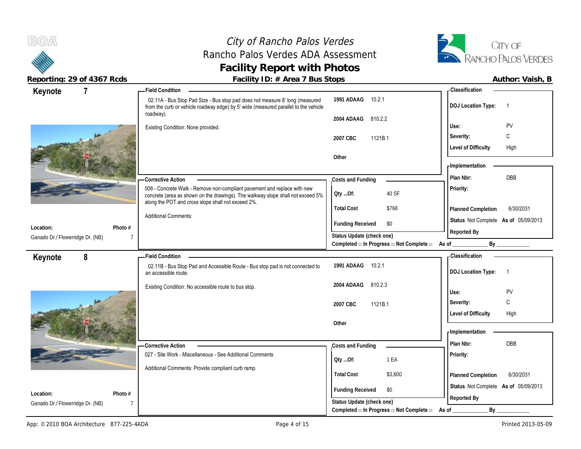**BOA** 

## City of Rancho Palos Verdes Rancho Palos Verdes ADA Assessment **Facility Report with Photos**



**Reporting: 29 of 4367 Rcds Facility ID: # Area 7 Bus Stops Author: Vaish, B**

| Keynote                          | $\overline{7}$                                                                    | -Field Condition                                                                                                                                                                                                  |                                                   | <b>Classification</b>                       |
|----------------------------------|-----------------------------------------------------------------------------------|-------------------------------------------------------------------------------------------------------------------------------------------------------------------------------------------------------------------|---------------------------------------------------|---------------------------------------------|
|                                  |                                                                                   | 02.11A - Bus Stop Pad Size - Bus stop pad does not measure 8' long (measured<br>from the curb or vehicle roadway edge) by 5' wide (measured parallel to the vehicle                                               | 1991 ADAAG<br>10.2.1                              | <b>DOJ</b> Location Type:<br>-1             |
|                                  |                                                                                   | roadway).                                                                                                                                                                                                         | 810.2.2<br>2004 ADAAG                             |                                             |
|                                  |                                                                                   | Existing Condition: None provided.                                                                                                                                                                                |                                                   | PV<br>Use:                                  |
|                                  |                                                                                   |                                                                                                                                                                                                                   | 1121B.1<br>2007 CBC                               | С<br>Severity:                              |
|                                  |                                                                                   |                                                                                                                                                                                                                   |                                                   | <b>Level of Difficulty</b><br>High          |
|                                  |                                                                                   |                                                                                                                                                                                                                   | Other                                             |                                             |
|                                  |                                                                                   |                                                                                                                                                                                                                   |                                                   | - Implementation                            |
|                                  |                                                                                   | - Corrective Action                                                                                                                                                                                               | Costs and Funding                                 | DBB<br>Plan Nbr:                            |
|                                  |                                                                                   | 006 - Concrete Walk - Remove non-compliant pavement and replace with new<br>concrete (area as shown on the drawings). The walkway slope shall not exceed 5%<br>along the POT and cross slope shall not exceed 2%. | 40 SF<br>QtyOf:                                   | <b>Priority:</b>                            |
|                                  |                                                                                   |                                                                                                                                                                                                                   | <b>Total Cost</b><br>\$768                        | 6/30/2031<br>Planned Completion             |
| Location:                        | Photo #                                                                           | <b>Additional Comments:</b>                                                                                                                                                                                       | <b>Funding Received</b><br>\$0                    | Status Not Complete As of 05/09/2013        |
| Ganado Dr./ Flowerridge Dr. (NB) | 7                                                                                 |                                                                                                                                                                                                                   | Status Update (check one)                         | Reported By                                 |
|                                  |                                                                                   |                                                                                                                                                                                                                   | Completed □ In Progress □ Not Complete □ As of __ |                                             |
| Keynote                          | 8                                                                                 | <b>Field Condition</b>                                                                                                                                                                                            |                                                   | - Classification                            |
|                                  |                                                                                   | 02.11B - Bus Stop Pad and Accessible Route - Bus stop pad is not connected to<br>an accessible route.                                                                                                             | 1991 ADAAG<br>10.2.1                              | <b>DOJ Location Type:</b><br>$\overline{1}$ |
|                                  |                                                                                   | Existing Condition: No accessible route to bus stop.                                                                                                                                                              | 2004 ADAAG<br>810.2.3                             |                                             |
|                                  |                                                                                   |                                                                                                                                                                                                                   |                                                   | PV<br>Use:                                  |
|                                  |                                                                                   |                                                                                                                                                                                                                   | 2007 CBC<br>1121B.1                               | C<br>Severity:                              |
|                                  |                                                                                   |                                                                                                                                                                                                                   |                                                   | <b>Level of Difficulty</b><br>High          |
|                                  |                                                                                   |                                                                                                                                                                                                                   | Other                                             |                                             |
|                                  |                                                                                   |                                                                                                                                                                                                                   |                                                   | - Implementation                            |
|                                  |                                                                                   | -Corrective Action                                                                                                                                                                                                | Costs and Funding                                 | Plan Nbr:<br>DBB                            |
|                                  |                                                                                   | 027 - Site Work - Miscellaneous - See Additional Comments                                                                                                                                                         | 1 EA<br>QtyOf:                                    | Priority:                                   |
|                                  |                                                                                   | Additional Comments: Provide compliant curb ramp.                                                                                                                                                                 |                                                   |                                             |
|                                  |                                                                                   |                                                                                                                                                                                                                   | <b>Total Cost</b><br>\$3,600                      | 6/30/2031<br>Planned Completion             |
| Location:                        | Photo #                                                                           |                                                                                                                                                                                                                   | <b>Funding Received</b><br>\$0                    | Status Not Complete As of 05/09/2013        |
|                                  | $\mathbf{r} = \mathbf{r}$ , $\mathbf{r} = \mathbf{r}$ , $\mathbf{r} = \mathbf{r}$ |                                                                                                                                                                                                                   | Ctatus Undata (chook ana)                         | Reported By                                 |

Ganado Dr./ Flowerridge Dr. (NB)

7

**Status Update (check one)**

**Completed □ In Progress □ Not Complete □ As of \_\_\_\_\_\_\_\_\_\_\_\_\_ By \_\_\_\_\_\_\_\_\_\_\_\_**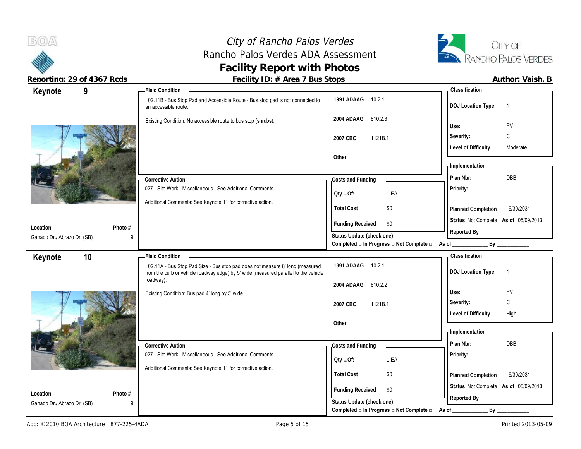# City of Rancho Palos Verdes Rancho Palos Verdes ADA Assessment **Facility Report with Photos**



| Keynote                                  | 9                       | - Field Condition                                                                                                                                                   |                                                                 | - Classification                                    |
|------------------------------------------|-------------------------|---------------------------------------------------------------------------------------------------------------------------------------------------------------------|-----------------------------------------------------------------|-----------------------------------------------------|
|                                          |                         | 02.11B - Bus Stop Pad and Accessible Route - Bus stop pad is not connected to<br>an accessible route.                                                               | 1991 ADAAG 10.2.1                                               | <b>DOJ Location Type:</b><br>$\overline{1}$         |
|                                          |                         | Existing Condition: No accessible route to bus stop (shrubs).                                                                                                       | 2004 ADAAG<br>810.2.3                                           | PV<br>Use:                                          |
|                                          |                         |                                                                                                                                                                     | 2007 CBC<br>1121B.1                                             | C<br>Severity:                                      |
|                                          |                         |                                                                                                                                                                     |                                                                 | <b>Level of Difficulty</b><br>Moderate              |
|                                          |                         |                                                                                                                                                                     | Other                                                           |                                                     |
|                                          |                         |                                                                                                                                                                     |                                                                 | - Implementation                                    |
|                                          |                         | - Corrective Action                                                                                                                                                 | Costs and Funding                                               | DBB<br>Plan Nbr:                                    |
|                                          |                         | 027 - Site Work - Miscellaneous - See Additional Comments                                                                                                           | 1 EA<br>Qty Of:                                                 | Priority:                                           |
|                                          |                         | Additional Comments: See Keynote 11 for corrective action.                                                                                                          | <b>Total Cost</b><br>\$0                                        | 6/30/2031<br>Planned Completion                     |
|                                          |                         |                                                                                                                                                                     |                                                                 | Status Not Complete As of 05/09/2013                |
| Location:                                | Photo #                 |                                                                                                                                                                     | <b>Funding Received</b><br>\$0                                  |                                                     |
| Ganado Dr./ Abrazo Dr. (SB)              | 9                       |                                                                                                                                                                     | Status Update (check one)                                       | Reported By                                         |
|                                          |                         |                                                                                                                                                                     | Completed $\Box$ In Progress $\Box$ Not Complete $\Box$ As of _ | By _____________                                    |
| Keynote                                  | 10                      | <b>Field Condition</b>                                                                                                                                              |                                                                 | <b>Classification</b>                               |
|                                          |                         | 02.11A - Bus Stop Pad Size - Bus stop pad does not measure 8' long (measured<br>from the curb or vehicle roadway edge) by 5' wide (measured parallel to the vehicle | 1991 ADAAG<br>10.2.1                                            | <b>DOJ Location Type:</b><br>$\overline{1}$         |
|                                          |                         |                                                                                                                                                                     |                                                                 |                                                     |
|                                          |                         | roadway).                                                                                                                                                           | 2004 ADAAG<br>810.2.2                                           |                                                     |
|                                          |                         | Existing Condition: Bus pad 4' long by 5' wide.                                                                                                                     |                                                                 | PV<br>Use:                                          |
|                                          |                         |                                                                                                                                                                     | 1121B.1<br>2007 CBC                                             | С<br>Severity:                                      |
|                                          |                         |                                                                                                                                                                     |                                                                 | <b>Level of Difficulty</b><br>High                  |
|                                          |                         |                                                                                                                                                                     | Other                                                           |                                                     |
|                                          |                         |                                                                                                                                                                     |                                                                 | - Implementation                                    |
|                                          |                         | <b>Corrective Action</b>                                                                                                                                            | Costs and Funding                                               | DBB<br>Plan Nbr:                                    |
|                                          |                         | 027 - Site Work - Miscellaneous - See Additional Comments                                                                                                           | 1 EA<br>QtyOf:                                                  | Priority:                                           |
|                                          |                         | Additional Comments: See Keynote 11 for corrective action.                                                                                                          | <b>Total Cost</b><br>\$0                                        | 6/30/2031                                           |
|                                          |                         |                                                                                                                                                                     |                                                                 | Planned Completion                                  |
| Location:<br>Ganado Dr./ Abrazo Dr. (SB) | Photo #<br>$\mathsf{Q}$ |                                                                                                                                                                     | <b>Funding Received</b><br>\$0<br>Status Update (check one)     | Status Not Complete As of 05/09/2013<br>Reported By |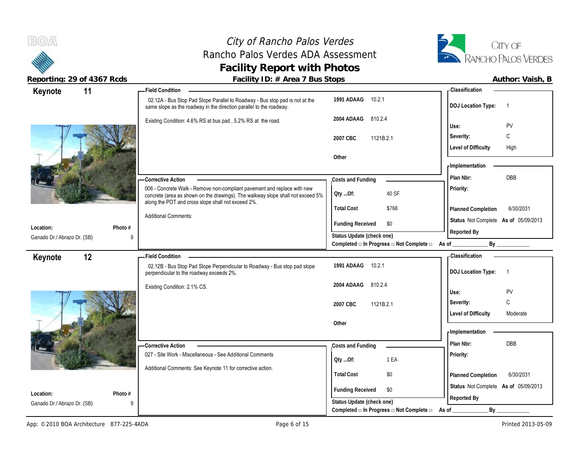## City of Rancho Palos Verdes Rancho Palos Verdes ADA Assessment **Facility Report with Photos**



**Reporting: 29 of 4367 Rcds Facility ID: # Area 7 Bus Stops** 

| Keynote                     | 11           | - Field Condition                                                                                                                                                                                                 |                                                                                      | - Classification                            |
|-----------------------------|--------------|-------------------------------------------------------------------------------------------------------------------------------------------------------------------------------------------------------------------|--------------------------------------------------------------------------------------|---------------------------------------------|
|                             |              | 02.12A - Bus Stop Pad Slope Parallel to Roadway - Bus stop pad is not at the<br>same slope as the roadway in the direction parallel to the roadway.                                                               | 1991 ADAAG<br>10.2.1                                                                 | <b>DOJ</b> Location Type:<br>$\overline{1}$ |
|                             |              | Existing Condition: 4.6% RS at bus pad, 5.2% RS at the road.                                                                                                                                                      | 2004 ADAAG<br>810.2.4                                                                | PV<br>Use:                                  |
|                             |              |                                                                                                                                                                                                                   |                                                                                      | Severity:<br>C                              |
|                             |              |                                                                                                                                                                                                                   | 2007 CBC<br>1121B.2.1                                                                | <b>Level of Difficulty</b><br>High          |
|                             |              |                                                                                                                                                                                                                   | Other                                                                                |                                             |
|                             |              |                                                                                                                                                                                                                   |                                                                                      | - Implementation                            |
|                             |              | <b>Corrective Action</b>                                                                                                                                                                                          | Costs and Funding                                                                    | DBB<br>Plan Nbr:                            |
|                             |              | 006 - Concrete Walk - Remove non-compliant pavement and replace with new<br>concrete (area as shown on the drawings). The walkway slope shall not exceed 5%<br>along the POT and cross slope shall not exceed 2%. | 40 SF<br>Oty Of:                                                                     | Priority:                                   |
|                             |              |                                                                                                                                                                                                                   | <b>Total Cost</b><br>\$768                                                           | 6/30/2031<br>Planned Completion             |
| Location:                   | Photo #      | <b>Additional Comments:</b>                                                                                                                                                                                       | <b>Funding Received</b><br>\$0                                                       | Status Not Complete As of 05/09/2013        |
| Ganado Dr./ Abrazo Dr. (SB) | 9            |                                                                                                                                                                                                                   | Status Update (check one)                                                            | Reported By                                 |
|                             |              |                                                                                                                                                                                                                   | Completed □ In Progress □ Not Complete □ As of ________                              | By                                          |
| Keynote                     | 12           | <b>Field Condition</b>                                                                                                                                                                                            |                                                                                      | <b>Classification</b>                       |
|                             |              | 02.12B - Bus Stop Pad Slope Perpendicular to Roadway - Bus stop pad slope                                                                                                                                         | 1991 ADAAG<br>10.2.1                                                                 |                                             |
|                             |              | perpendicular to the roadway exceeds 2%.                                                                                                                                                                          |                                                                                      | <b>DOJ Location Type:</b><br>$\overline{1}$ |
|                             |              | Existing Condition: 2.1% CS.                                                                                                                                                                                      | 2004 ADAAG<br>810.2.4                                                                |                                             |
|                             |              |                                                                                                                                                                                                                   |                                                                                      | Use:<br>PV                                  |
|                             |              |                                                                                                                                                                                                                   | 2007 CBC<br>1121B.2.1                                                                | C<br>Severity:                              |
|                             |              |                                                                                                                                                                                                                   |                                                                                      | <b>Level of Difficulty</b><br>Moderate      |
|                             |              |                                                                                                                                                                                                                   | Other                                                                                | - Implementation                            |
|                             |              |                                                                                                                                                                                                                   |                                                                                      | DBB<br>Plan Nbr:                            |
|                             |              | <b>Corrective Action</b><br>027 - Site Work - Miscellaneous - See Additional Comments                                                                                                                             | Costs and Funding                                                                    | Priority:                                   |
|                             |              |                                                                                                                                                                                                                   | 1 EA<br>QtyOf:                                                                       |                                             |
|                             |              | Additional Comments: See Keynote 11 for corrective action.                                                                                                                                                        | <b>Total Cost</b><br>\$0                                                             | 6/30/2031<br>Planned Completion             |
| Location:                   | Photo #      |                                                                                                                                                                                                                   | <b>Funding Received</b><br>\$0                                                       | Status Not Complete As of 05/09/2013        |
| Ganado Dr./ Abrazo Dr. (SB) | $\mathsf{Q}$ |                                                                                                                                                                                                                   | Status Update (check one)<br>Completed $\Box$ In Progress $\Box$ Not Complete $\Box$ | Reported By<br>By                           |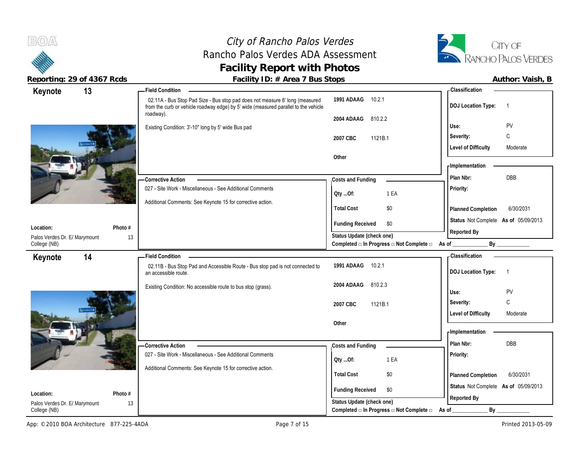**Keynote**

 $B(0)$ 

**Location:**

College (NB)

**Keynote**

Palos Verdes Dr. E/ Marymount

## City of Rancho Palos Verdes Rancho Palos Verdes ADA Assessment **Facility Report with Photos**



Reporting: 29 of 4367 Rcds **Facility ID: # Area 7 Bus Stops Facility ID: # Area 7 Bus Stops Author: Vaish, B** 

| 13            | <b>Field Condition</b>                                                                                                                                              |                                                   |                                                                  | - Classification                                                 |                         |  |
|---------------|---------------------------------------------------------------------------------------------------------------------------------------------------------------------|---------------------------------------------------|------------------------------------------------------------------|------------------------------------------------------------------|-------------------------|--|
|               | 02.11A - Bus Stop Pad Size - Bus stop pad does not measure 8' long (measured<br>from the curb or vehicle roadway edge) by 5' wide (measured parallel to the vehicle | 1991 ADAAG                                        | 10.2.1                                                           | <b>DOJ</b> Location Type:                                        |                         |  |
| L E I         | roadway).<br>Existing Condition: 3'-10" long by 5' wide Bus pad                                                                                                     | 2004 ADAAG<br>2007 CBC<br>Other                   | 810.2.2<br>1121B.1                                               | Use:<br>Severity:<br>Level of Difficulty                         | PV<br>C<br>Moderate     |  |
|               | -Corrective Action<br>027 - Site Work - Miscellaneous - See Additional Comments<br>Additional Comments: See Keynote 15 for corrective action.                       | Costs and Funding<br>Qty Of:<br><b>Total Cost</b> | 1 EA<br>\$0                                                      | - Implementation<br>Plan Nbr:<br>Priority:<br>Planned Completion | <b>DBB</b><br>6/30/2031 |  |
| Photo #       |                                                                                                                                                                     | <b>Funding Received</b>                           | \$0                                                              | Status Not Complete As of 05/09/2013                             |                         |  |
| 13<br>rymount |                                                                                                                                                                     | Status Update (check one)                         | Completed $\square$ In Progress $\square$ Not Complete $\square$ | Reported By<br>As of $\qquad \qquad$                             | By                      |  |
| 14            | <b>Field Condition</b>                                                                                                                                              |                                                   |                                                                  | - Classification                                                 |                         |  |
|               | 02.11B - Bus Stop Pad and Accessible Route - Bus stop pad is not connected to<br>an accessible route.                                                               | 1991 ADAAG                                        | 10.2.1                                                           | <b>DOJ Location Type:</b>                                        |                         |  |

**2004 ADAAG** 810.2.3



|                                                     | Existing Condition: No accessible route to bus stop (grass).                                                            | 2004 ADAAG<br>810.Z.J<br>2007 CBC<br>1121B.1                     | PV<br>Use:<br>Severity:<br>◡<br><b>Level of Difficulty</b><br>Moderate                        |
|-----------------------------------------------------|-------------------------------------------------------------------------------------------------------------------------|------------------------------------------------------------------|-----------------------------------------------------------------------------------------------|
|                                                     | -Corrective Action                                                                                                      | Other<br>Costs and Funding                                       | Implementation<br>Plan Nbr:<br>DBB                                                            |
|                                                     | 027 - Site Work - Miscellaneous - See Additional Comments<br>Additional Comments: See Keynote 15 for corrective action. | 1 EA<br>Oty Of:<br>\$0<br><b>Total Cost</b>                      | Priority:                                                                                     |
| Photo #<br>Location:                                |                                                                                                                         | <b>Funding Received</b><br>\$0<br>Status Update (check one)      | 6/30/2031<br><b>Planned Completion</b><br>Status Not Complete As of 05/09/2013<br>Reported By |
| 13<br>Palos Verdes Dr. E/ Marymount<br>College (NB) |                                                                                                                         | Completed $\Box$ In Progress $\Box$ Not Complete $\Box$<br>As of | Bv                                                                                            |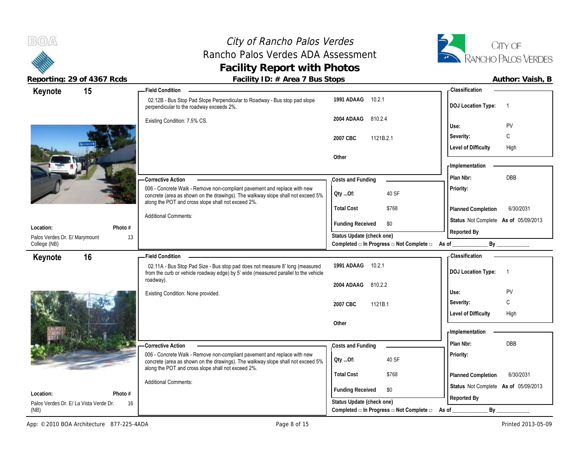

## City of Rancho Palos Verdes Rancho Palos Verdes ADA Assessment **Facility Report with Photos**



|                               | TODOLING. 27 OF 4007 ROUS              | I addity TD. $\pi$ Area T Dus Jtops                                                                                                                                                                               |                                                                                            | AULIIUI. VAISII, D                          |
|-------------------------------|----------------------------------------|-------------------------------------------------------------------------------------------------------------------------------------------------------------------------------------------------------------------|--------------------------------------------------------------------------------------------|---------------------------------------------|
| Keynote                       | 15                                     | <b>Field Condition -</b>                                                                                                                                                                                          |                                                                                            | - Classification                            |
|                               |                                        | 02.12B - Bus Stop Pad Slope Perpendicular to Roadway - Bus stop pad slope<br>perpendicular to the roadway exceeds 2%.                                                                                             | 1991 ADAAG 10.2.1                                                                          | <b>DOJ Location Type:</b><br>$\overline{1}$ |
|                               |                                        | Existing Condition: 7.5% CS.                                                                                                                                                                                      | 2004 ADAAG<br>810.2.4                                                                      |                                             |
|                               |                                        |                                                                                                                                                                                                                   |                                                                                            | PV<br>Use:                                  |
|                               |                                        |                                                                                                                                                                                                                   | 2007 CBC<br>1121B.2.1                                                                      | C<br>Severity:                              |
|                               |                                        |                                                                                                                                                                                                                   |                                                                                            | <b>Level of Difficulty</b><br>High          |
|                               |                                        |                                                                                                                                                                                                                   | Other                                                                                      |                                             |
|                               |                                        |                                                                                                                                                                                                                   |                                                                                            | <b>Implementation</b>                       |
|                               |                                        | Corrective Action                                                                                                                                                                                                 | Costs and Funding                                                                          | <b>DBB</b><br>Plan Nbr:                     |
|                               |                                        | 006 - Concrete Walk - Remove non-compliant pavement and replace with new<br>concrete (area as shown on the drawings). The walkway slope shall not exceed 5%<br>along the POT and cross slope shall not exceed 2%. | 40 SF<br>QtyOf:                                                                            | Priority:                                   |
|                               |                                        |                                                                                                                                                                                                                   | <b>Total Cost</b><br>\$768                                                                 | 6/30/2031<br>Planned Completion             |
|                               |                                        | <b>Additional Comments:</b>                                                                                                                                                                                       | \$0                                                                                        | Status Not Complete As of 05/09/2013        |
| Location:                     | Photo #                                |                                                                                                                                                                                                                   | <b>Funding Received</b>                                                                    | Reported By                                 |
| Palos Verdes Dr. E/ Marymount |                                        | 13                                                                                                                                                                                                                | Status Update (check one)<br>Completed a In Progress a Not Complete a As of _________      |                                             |
| College (NB)                  |                                        |                                                                                                                                                                                                                   |                                                                                            |                                             |
| Keynote                       | 16                                     | - Field Condition -                                                                                                                                                                                               |                                                                                            | - Classification                            |
|                               |                                        | 02.11A - Bus Stop Pad Size - Bus stop pad does not measure 8' long (measured<br>from the curb or vehicle roadway edge) by 5' wide (measured parallel to the vehicle                                               | 1991 ADAAG 10.2.1                                                                          | <b>DOJ Location Type:</b><br>$\overline{1}$ |
|                               |                                        | roadway).                                                                                                                                                                                                         | 2004 ADAAG<br>810.2.2                                                                      |                                             |
|                               |                                        | Existing Condition: None provided.                                                                                                                                                                                |                                                                                            | PV<br>Use:                                  |
|                               |                                        |                                                                                                                                                                                                                   | 2007 CBC<br>1121B.1                                                                        | C<br>Severity:                              |
|                               |                                        |                                                                                                                                                                                                                   |                                                                                            | Level of Difficulty<br>High                 |
|                               |                                        |                                                                                                                                                                                                                   | Other                                                                                      |                                             |
|                               |                                        |                                                                                                                                                                                                                   |                                                                                            | <b>Implementation</b>                       |
|                               |                                        | <b>Corrective Action</b>                                                                                                                                                                                          | Costs and Funding                                                                          | <b>DBB</b><br>Plan Nbr:                     |
|                               |                                        | 006 - Concrete Walk - Remove non-compliant pavement and replace with new                                                                                                                                          |                                                                                            | Priority:                                   |
|                               |                                        | concrete (area as shown on the drawings). The walkway slope shall not exceed 5%<br>along the POT and cross slope shall not exceed 2%.                                                                             | 40 SF<br>Qty Of:                                                                           |                                             |
|                               |                                        |                                                                                                                                                                                                                   |                                                                                            |                                             |
|                               |                                        |                                                                                                                                                                                                                   | <b>Total Cost</b><br>\$768                                                                 | 6/30/2031<br>Planned Completion             |
|                               |                                        | <b>Additional Comments:</b>                                                                                                                                                                                       |                                                                                            | Status Not Complete As of 05/09/2013        |
| Location:                     | Photo #                                |                                                                                                                                                                                                                   | <b>Funding Received</b><br>\$0                                                             |                                             |
| (NB)                          | Palos Verdes Dr. E/ La Vista Verde Dr. | 16                                                                                                                                                                                                                | Status Update (check one)<br>Completed $\Box$ In Progress $\Box$ Not Complete $\Box$ As of | Reported By<br>By                           |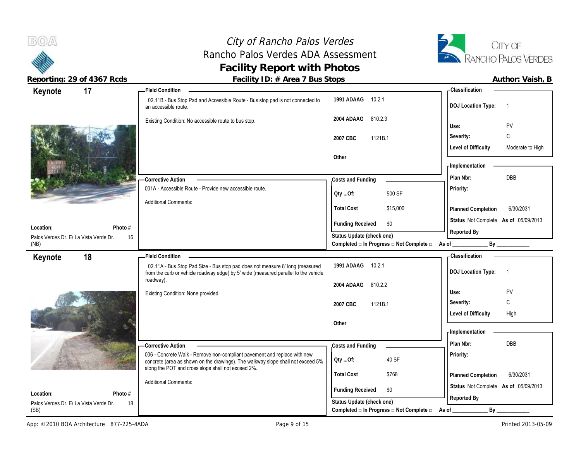City of Rancho Palos Verdes Rancho Palos Verdes ADA Assessment **Facility Report with Photos**



 $B(0)$ 

| Keynote                                             | 17            | <b>Field Condition</b>                                                                                                                                              |                                                                             | <b>Classification</b>                          |
|-----------------------------------------------------|---------------|---------------------------------------------------------------------------------------------------------------------------------------------------------------------|-----------------------------------------------------------------------------|------------------------------------------------|
|                                                     |               | 02.11B - Bus Stop Pad and Accessible Route - Bus stop pad is not connected to<br>an accessible route.                                                               | 10.2.1<br>1991 ADAAG                                                        | <b>DOJ Location Type:</b><br>-1                |
|                                                     |               | Existing Condition: No accessible route to bus stop.                                                                                                                | 2004 ADAAG<br>810.2.3                                                       | PV<br>Use:                                     |
|                                                     |               |                                                                                                                                                                     | 1121B.1<br>2007 CBC                                                         | C<br>Severity:                                 |
|                                                     |               |                                                                                                                                                                     |                                                                             | <b>Level of Difficulty</b><br>Moderate to High |
|                                                     |               |                                                                                                                                                                     | Other                                                                       |                                                |
|                                                     |               |                                                                                                                                                                     |                                                                             | - Implementation                               |
|                                                     |               | <b>Corrective Action</b>                                                                                                                                            | Costs and Funding                                                           | DBB<br>Plan Nbr:                               |
|                                                     |               | 001A - Accessible Route - Provide new accessible route.                                                                                                             |                                                                             | Priority:                                      |
|                                                     |               | <b>Additional Comments:</b>                                                                                                                                         | 500 SF<br>Oty Of:                                                           |                                                |
|                                                     |               |                                                                                                                                                                     | <b>Total Cost</b><br>\$15,000                                               | 6/30/2031<br>Planned Completion                |
|                                                     |               |                                                                                                                                                                     | <b>Funding Received</b><br>\$0                                              | Status Not Complete As of 05/09/2013           |
| Location:                                           | Photo #       |                                                                                                                                                                     |                                                                             | Reported By                                    |
| Palos Verdes Dr. E/ La Vista Verde Dr.<br>(NB)      | 16            |                                                                                                                                                                     | Status Update (check one)<br>Completed □ In Progress □ Not Complete □ As of | $\mathsf{By}$                                  |
| Keynote                                             | 18            | <b>Field Condition</b>                                                                                                                                              |                                                                             | <b>Classification</b>                          |
|                                                     |               |                                                                                                                                                                     |                                                                             |                                                |
|                                                     |               | 02.11A - Bus Stop Pad Size - Bus stop pad does not measure 8' long (measured<br>from the curb or vehicle roadway edge) by 5' wide (measured parallel to the vehicle | 10.2.1<br>1991 ADAAG                                                        | <b>DOJ Location Type:</b><br>-1                |
|                                                     |               | roadway).                                                                                                                                                           | 2004 ADAAG<br>810.2.2                                                       |                                                |
|                                                     |               | Existing Condition: None provided.                                                                                                                                  |                                                                             | PV<br>Use:                                     |
|                                                     |               |                                                                                                                                                                     | 2007 CBC<br>1121B.1                                                         | C<br>Severity:                                 |
|                                                     |               |                                                                                                                                                                     |                                                                             | <b>Level of Difficulty</b><br>High             |
|                                                     |               |                                                                                                                                                                     | Other                                                                       |                                                |
|                                                     |               |                                                                                                                                                                     |                                                                             | - Implementation                               |
|                                                     |               | -Corrective Action                                                                                                                                                  | Costs and Funding                                                           | Plan Nbr:<br>DBB                               |
|                                                     |               | 006 - Concrete Walk - Remove non-compliant pavement and replace with new<br>concrete (area as shown on the drawings). The walkway slope shall not exceed 5%         | 40 SF<br>Oty Of:                                                            | Priority:                                      |
|                                                     |               | along the POT and cross slope shall not exceed 2%.                                                                                                                  | <b>Total Cost</b><br>\$768                                                  | 6/30/2031<br>Planned Completion                |
|                                                     |               | <b>Additional Comments:</b>                                                                                                                                         |                                                                             | Status Not Complete As of 05/09/2013           |
| Location:<br>Palos Verdes Dr. E/ La Vista Verde Dr. | Photo #<br>18 |                                                                                                                                                                     | <b>Funding Received</b><br>\$0<br>Status Update (check one)                 | Reported By                                    |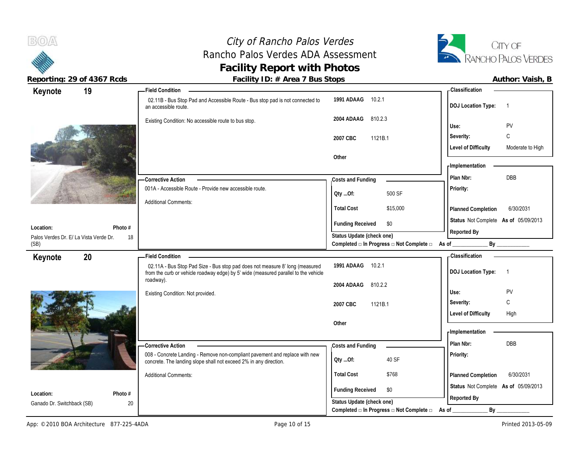# City of Rancho Palos Verdes Rancho Palos Verdes ADA Assessment **Facility Report with Photos**



| Keynote                                        | 19            | <b>Field Condition</b>                                                                                                                           |                                                                                | - Classification                               |
|------------------------------------------------|---------------|--------------------------------------------------------------------------------------------------------------------------------------------------|--------------------------------------------------------------------------------|------------------------------------------------|
|                                                |               | 02.11B - Bus Stop Pad and Accessible Route - Bus stop pad is not connected to<br>an accessible route.                                            | 1991 ADAAG 10.2.1                                                              | <b>DOJ Location Type:</b><br>-1                |
|                                                |               | Existing Condition: No accessible route to bus stop.                                                                                             | 2004 ADAAG<br>810.2.3                                                          | PV<br>Use:                                     |
|                                                |               |                                                                                                                                                  | 2007 CBC<br>1121B.1                                                            | C<br>Severity:                                 |
|                                                |               |                                                                                                                                                  |                                                                                | <b>Level of Difficulty</b><br>Moderate to High |
|                                                |               |                                                                                                                                                  | Other                                                                          |                                                |
|                                                |               |                                                                                                                                                  |                                                                                | - Implementation                               |
|                                                |               | -Corrective Action                                                                                                                               | Costs and Funding                                                              | DBB<br>Plan Nbr:                               |
|                                                |               | 001A - Accessible Route - Provide new accessible route.                                                                                          | 500 SF<br>Oty Of:                                                              | Priority:                                      |
|                                                |               | <b>Additional Comments:</b>                                                                                                                      | <b>Total Cost</b><br>\$15,000                                                  | Planned Completion<br>6/30/2031                |
|                                                |               |                                                                                                                                                  |                                                                                | Status Not Complete As of 05/09/2013           |
| Location:                                      | Photo #       |                                                                                                                                                  | <b>Funding Received</b><br>\$0                                                 | Reported By                                    |
| Palos Verdes Dr. E/ La Vista Verde Dr.<br>(SB) | 18            |                                                                                                                                                  | Status Update (check one)<br>Completed □ In Progress □ Not Complete □ As of __ | By                                             |
| Keynote                                        | 20            | <b>Field Condition</b>                                                                                                                           |                                                                                | Classification                                 |
|                                                |               | 02.11A - Bus Stop Pad Size - Bus stop pad does not measure 8' long (measured                                                                     | 1991 ADAAG 10.2.1                                                              | <b>DOJ</b> Location Type:<br>$\overline{1}$    |
|                                                |               | from the curb or vehicle roadway edge) by 5' wide (measured parallel to the vehicle                                                              |                                                                                |                                                |
|                                                |               | roadway).                                                                                                                                        | 810.2.2<br>2004 ADAAG                                                          |                                                |
|                                                |               | Existing Condition: Not provided.                                                                                                                |                                                                                | Use:<br>PV                                     |
|                                                |               |                                                                                                                                                  | 2007 CBC<br>1121B.1                                                            | $\mathsf{C}$<br>Severity:                      |
|                                                |               |                                                                                                                                                  | Other                                                                          | <b>Level of Difficulty</b><br>High             |
|                                                |               |                                                                                                                                                  |                                                                                | - Implementation                               |
|                                                |               | <b>Corrective Action</b>                                                                                                                         | Costs and Funding                                                              | Plan Nbr:<br><b>DBB</b>                        |
|                                                |               | 008 - Concrete Landing - Remove non-compliant pavement and replace with new<br>concrete. The landing slope shall not exceed 2% in any direction. | 40 SF<br>Oty Of:                                                               | Priority:                                      |
|                                                |               | <b>Additional Comments:</b>                                                                                                                      | <b>Total Cost</b><br>\$768                                                     | 6/30/2031<br><b>Planned Completion</b>         |
|                                                |               |                                                                                                                                                  | <b>Funding Received</b><br>\$0                                                 | Status Not Complete As of 05/09/2013           |
| Location:<br>Ganado Dr. Switchback (SB)        | Photo #<br>20 |                                                                                                                                                  | Status Update (check one)<br>Completed □ In Progress □ Not Complete □          | Reported By                                    |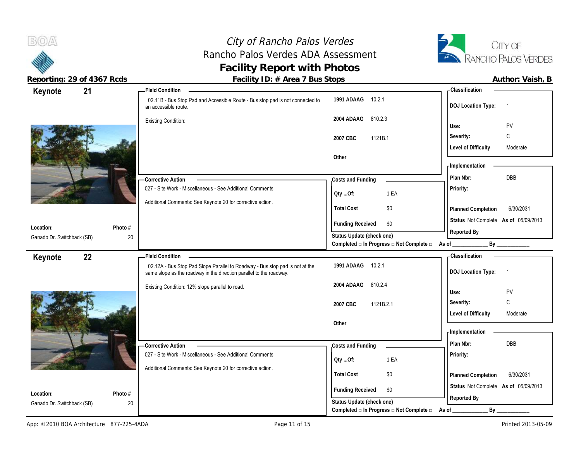# City of Rancho Palos Verdes Rancho Palos Verdes ADA Assessment **Facility Report with Photos**



| Reporting: 29 of 4367 Rcds |         | Facility ID: # Area 7 Bus Stops                                                                                                                     |                                                                        |                                      | Author: Vaish, B         |
|----------------------------|---------|-----------------------------------------------------------------------------------------------------------------------------------------------------|------------------------------------------------------------------------|--------------------------------------|--------------------------|
| 21<br>Keynote              |         | <b>Field Condition</b>                                                                                                                              |                                                                        | <b>Classification</b>                |                          |
|                            |         | 02.11B - Bus Stop Pad and Accessible Route - Bus stop pad is not connected to<br>an accessible route.                                               | 1991 ADAAG 10.2.1                                                      | <b>DOJ Location Type:</b>            | $\overline{1}$           |
|                            |         | <b>Existing Condition:</b>                                                                                                                          | 2004 ADAAG 810.2.3                                                     | Use:                                 | PV                       |
|                            |         |                                                                                                                                                     | 2007 CBC<br>1121B.1                                                    | Severity:                            | $\mathsf{C}$             |
|                            |         |                                                                                                                                                     |                                                                        | <b>Level of Difficulty</b>           | Moderate                 |
|                            |         |                                                                                                                                                     | Other                                                                  | <b>Implementation</b>                |                          |
|                            |         | -Corrective Action                                                                                                                                  | Costs and Funding                                                      | Plan Nbr:                            | <b>DBB</b>               |
|                            |         | 027 - Site Work - Miscellaneous - See Additional Comments                                                                                           | 1 EA<br>Oty Of:                                                        | Priority:                            |                          |
|                            |         | Additional Comments: See Keynote 20 for corrective action.                                                                                          |                                                                        |                                      |                          |
|                            |         |                                                                                                                                                     | <b>Total Cost</b><br>\$0                                               | Planned Completion                   | 6/30/2031                |
| Location:                  | Photo # |                                                                                                                                                     | <b>Funding Received</b><br>\$0                                         | Status Not Complete As of 05/09/2013 |                          |
| Ganado Dr. Switchback (SB) | 20      |                                                                                                                                                     | Status Update (check one)                                              | Reported By                          |                          |
|                            |         |                                                                                                                                                     | Completed □ In Progress □ Not Complete □ As of                         | By                                   |                          |
| 22<br>Keynote              |         | - Field Condition                                                                                                                                   |                                                                        | Classification                       |                          |
|                            |         | 02.12A - Bus Stop Pad Slope Parallel to Roadway - Bus stop pad is not at the<br>same slope as the roadway in the direction parallel to the roadway. | 1991 ADAAG<br>10.2.1                                                   | <b>DOJ Location Type:</b>            | $\overline{\phantom{1}}$ |
|                            |         | Existing Condition: 12% slope parallel to road.                                                                                                     | 2004 ADAAG<br>810.2.4                                                  |                                      |                          |
|                            |         |                                                                                                                                                     |                                                                        | Use:                                 | PV                       |
|                            |         |                                                                                                                                                     | 2007 CBC<br>1121B.2.1                                                  | Severity:                            | C                        |
|                            |         |                                                                                                                                                     | Other                                                                  | <b>Level of Difficulty</b>           | Moderate                 |
|                            |         |                                                                                                                                                     |                                                                        | Implementation                       |                          |
|                            |         | - Corrective Action                                                                                                                                 | Costs and Funding                                                      | Plan Nbr:                            | DBB                      |
|                            |         | 027 - Site Work - Miscellaneous - See Additional Comments                                                                                           |                                                                        | <b>Priority:</b>                     |                          |
|                            |         | Additional Comments: See Keynote 20 for corrective action.                                                                                          | 1 EA<br>$Qty$ Of:                                                      |                                      |                          |
|                            |         |                                                                                                                                                     | \$0<br><b>Total Cost</b>                                               | Planned Completion                   | 6/30/2031                |
| Location:                  | Photo # |                                                                                                                                                     | <b>Funding Received</b><br>\$0                                         | Status Not Complete As of 05/09/2013 |                          |
| Ganado Dr. Switchback (SB) | 20      |                                                                                                                                                     | Status Update (check one)                                              | Reported By                          |                          |
|                            |         |                                                                                                                                                     | Completed $\square$ In Progress $\square$ Not Complete $\square$ As of | $By_$                                |                          |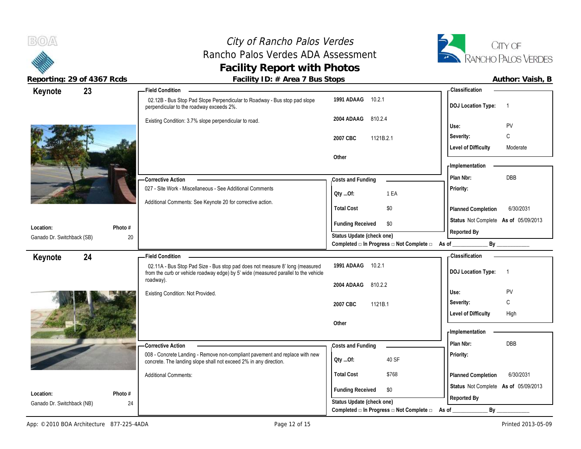## City of Rancho Palos Verdes Rancho Palos Verdes ADA Assessment **Facility Report with Photos**



| Reporting: 29 of 4367 Rcds              |               | Facility ID: # Area 7 Bus Stops                                                                                                                                     |                                                                 |                                      | Author: Vaish, B  |
|-----------------------------------------|---------------|---------------------------------------------------------------------------------------------------------------------------------------------------------------------|-----------------------------------------------------------------|--------------------------------------|-------------------|
| 23<br>Keynote                           |               | <b>Field Condition</b>                                                                                                                                              |                                                                 | - Classification                     |                   |
|                                         |               | 02.12B - Bus Stop Pad Slope Perpendicular to Roadway - Bus stop pad slope<br>perpendicular to the roadway exceeds 2%.                                               | 1991 ADAAG 10.2.1                                               | DOJ Location Type: 1                 |                   |
|                                         |               | Existing Condition: 3.7% slope perpendicular to road.                                                                                                               | 2004 ADAAG 810.2.4                                              | Use:                                 | PV                |
|                                         |               |                                                                                                                                                                     | 1121B.2.1<br>2007 CBC                                           | Severity:                            | C                 |
|                                         |               |                                                                                                                                                                     |                                                                 | <b>Level of Difficulty</b>           | Moderate          |
|                                         |               |                                                                                                                                                                     | Other                                                           | Implementation                       |                   |
|                                         |               | -Corrective Action                                                                                                                                                  | Costs and Funding                                               | Plan Nbr:                            | DBB               |
|                                         |               | 027 - Site Work - Miscellaneous - See Additional Comments                                                                                                           | 1 EA<br>QtyOf:                                                  | <b>Priority:</b>                     |                   |
|                                         |               | Additional Comments: See Keynote 20 for corrective action.                                                                                                          | \$0<br><b>Total Cost</b>                                        | Planned Completion                   | 6/30/2031         |
|                                         |               |                                                                                                                                                                     | <b>Funding Received</b><br>\$0                                  | Status Not Complete As of 05/09/2013 |                   |
| Location:<br>Ganado Dr. Switchback (SB) | Photo #<br>20 |                                                                                                                                                                     | Status Update (check one)                                       | Reported By                          |                   |
|                                         |               |                                                                                                                                                                     | Completed □ In Progress □ Not Complete □ As of _                |                                      | By ______________ |
| 24<br>Keynote                           |               | -Field Condition                                                                                                                                                    |                                                                 | <b>Classification</b>                |                   |
|                                         |               | 02.11A - Bus Stop Pad Size - Bus stop pad does not measure 8' long (measured<br>from the curb or vehicle roadway edge) by 5' wide (measured parallel to the vehicle | 1991 ADAAG 10.2.1                                               | DOJ Location Type: 1                 |                   |
|                                         |               | roadway).                                                                                                                                                           | 2004 ADAAG<br>810.2.2                                           |                                      |                   |
|                                         |               | Existing Condition: Not Provided.                                                                                                                                   |                                                                 | Use:                                 | PV                |
|                                         |               |                                                                                                                                                                     | 2007 CBC<br>1121B.1                                             | Severity:                            | C                 |
|                                         |               |                                                                                                                                                                     |                                                                 | <b>Level of Difficulty</b>           | High              |
|                                         |               |                                                                                                                                                                     | Other                                                           | Implementation                       |                   |
|                                         |               |                                                                                                                                                                     |                                                                 | Plan Nbr:                            | DBB               |
|                                         |               | <b>Corrective Action</b><br>008 - Concrete Landing - Remove non-compliant pavement and replace with new                                                             | Costs and Funding                                               | <b>Priority:</b>                     |                   |
|                                         |               | concrete. The landing slope shall not exceed 2% in any direction.                                                                                                   | 40 SF<br>QtyOf:                                                 |                                      |                   |
|                                         |               | <b>Additional Comments:</b>                                                                                                                                         | <b>Total Cost</b><br>\$768                                      | Planned Completion                   | 6/30/2031         |
| Location:                               | Photo #       |                                                                                                                                                                     | <b>Funding Received</b><br>\$0                                  | Status Not Complete As of 05/09/2013 |                   |
| Ganado Dr. Switchback (NB)              | 24            |                                                                                                                                                                     | Status Update (check one)                                       | Reported By                          |                   |
|                                         |               |                                                                                                                                                                     | Completed $\Box$ In Progress $\Box$ Not Complete $\Box$ As of _ | By                                   |                   |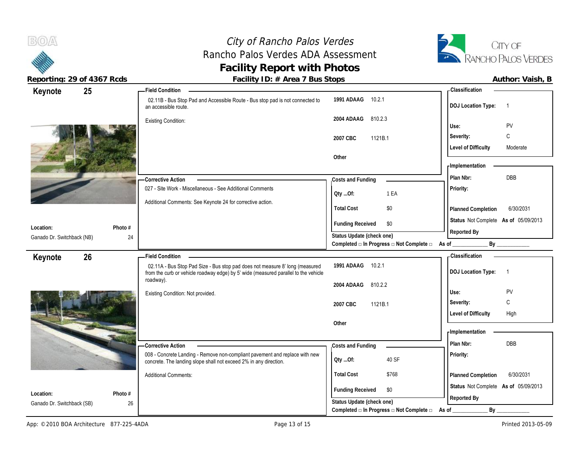# City of Rancho Palos Verdes Rancho Palos Verdes ADA Assessment **Facility Report with Photos**



| Keynote                    | 25      | <b>Field Condition</b>                                                                                |                                                                       | <b>Classification</b>                       |
|----------------------------|---------|-------------------------------------------------------------------------------------------------------|-----------------------------------------------------------------------|---------------------------------------------|
|                            |         | 02.11B - Bus Stop Pad and Accessible Route - Bus stop pad is not connected to<br>an accessible route. | 1991 ADAAG<br>10.2.1                                                  | <b>DOJ</b> Location Type:<br>$\overline{1}$ |
|                            |         | <b>Existing Condition:</b>                                                                            | 2004 ADAAG<br>810.2.3                                                 | PV<br>Use:                                  |
|                            |         |                                                                                                       | 1121B.1<br>2007 CBC                                                   | C<br>Severity:                              |
|                            |         |                                                                                                       |                                                                       | <b>Level of Difficulty</b><br>Moderate      |
|                            |         |                                                                                                       | Other                                                                 |                                             |
|                            |         |                                                                                                       |                                                                       | - Implementation                            |
|                            |         | <b>Corrective Action</b>                                                                              | Costs and Funding                                                     | DBB<br>Plan Nbr:                            |
|                            |         | 027 - Site Work - Miscellaneous - See Additional Comments                                             | 1 EA<br>QtyOf:                                                        | Priority:                                   |
|                            |         | Additional Comments: See Keynote 24 for corrective action.                                            |                                                                       |                                             |
|                            |         |                                                                                                       | <b>Total Cost</b><br>\$0                                              | 6/30/2031<br>Planned Completion             |
| Location:                  | Photo # |                                                                                                       | <b>Funding Received</b><br>\$0                                        | Status Not Complete As of 05/09/2013        |
| Ganado Dr. Switchback (NB) | 24      |                                                                                                       | Status Update (check one)                                             | Reported By                                 |
|                            |         |                                                                                                       | Completed $\Box$ In Progress $\Box$ Not Complete $\Box$ As of _       | By                                          |
| Keynote                    | 26      | <b>Field Condition</b>                                                                                |                                                                       | - Classification                            |
|                            |         | 02.11A - Bus Stop Pad Size - Bus stop pad does not measure 8' long (measured                          | 1991 ADAAG<br>10.2.1                                                  |                                             |
|                            |         | from the curb or vehicle roadway edge) by 5' wide (measured parallel to the vehicle                   |                                                                       | <b>DOJ</b> Location Type:<br>$\overline{1}$ |
|                            |         | roadway).                                                                                             | 2004 ADAAG<br>810.2.2                                                 |                                             |
|                            |         | Existing Condition: Not provided.                                                                     |                                                                       | Use:<br>PV                                  |
|                            |         |                                                                                                       | 2007 CBC<br>1121B.1                                                   | C<br>Severity:                              |
|                            |         |                                                                                                       |                                                                       | <b>Level of Difficulty</b><br>High          |
|                            |         |                                                                                                       | Other                                                                 | - Implementation                            |
|                            |         |                                                                                                       |                                                                       | Plan Nbr:<br><b>DBB</b>                     |
|                            |         | -Corrective Action<br>008 - Concrete Landing - Remove non-compliant pavement and replace with new     | Costs and Funding                                                     | Priority:                                   |
|                            |         | concrete. The landing slope shall not exceed 2% in any direction.                                     | 40 SF<br>Qty Of:                                                      |                                             |
|                            |         | <b>Additional Comments:</b>                                                                           | <b>Total Cost</b><br>\$768                                            | 6/30/2031<br>Planned Completion             |
| Location:                  | Photo # |                                                                                                       | <b>Funding Received</b><br>\$0                                        | Status Not Complete As of 05/09/2013        |
| Ganado Dr. Switchback (SB) | 26      |                                                                                                       | Status Update (check one)<br>Completed □ In Progress □ Not Complete □ | Reported By<br>By<br>As of                  |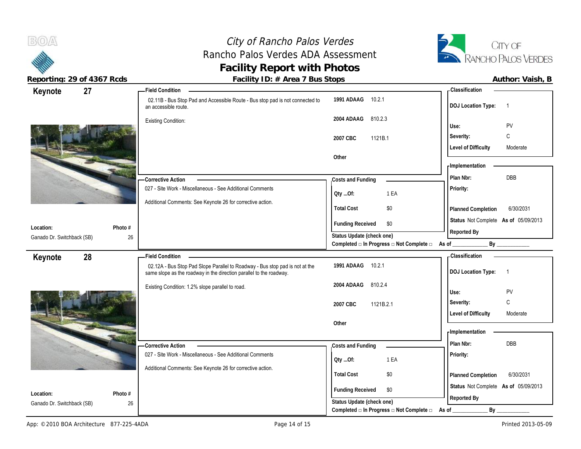# City of Rancho Palos Verdes Rancho Palos Verdes ADA Assessment **Facility Report with Photos**



| Keynote                                 | 27            | <b>Field Condition</b>                                                                                                                              |                                                             | - Classification                            |
|-----------------------------------------|---------------|-----------------------------------------------------------------------------------------------------------------------------------------------------|-------------------------------------------------------------|---------------------------------------------|
|                                         |               | 02.11B - Bus Stop Pad and Accessible Route - Bus stop pad is not connected to<br>an accessible route.                                               | 1991 ADAAG<br>10.2.1                                        | <b>DOJ</b> Location Type:<br>$\overline{1}$ |
|                                         |               | <b>Existing Condition:</b>                                                                                                                          | 2004 ADAAG<br>810.2.3                                       | PV<br>Use:                                  |
|                                         |               |                                                                                                                                                     | 2007 CBC<br>1121B.1                                         | $\mathsf{C}$<br>Severity:                   |
|                                         |               |                                                                                                                                                     |                                                             | <b>Level of Difficulty</b><br>Moderate      |
|                                         |               |                                                                                                                                                     | Other                                                       |                                             |
|                                         |               |                                                                                                                                                     |                                                             | - Implementation                            |
|                                         |               | <b>Corrective Action</b>                                                                                                                            | Costs and Funding                                           | DBB<br>Plan Nbr:                            |
|                                         |               | 027 - Site Work - Miscellaneous - See Additional Comments                                                                                           | 1 EA                                                        | Priority:                                   |
|                                         |               | Additional Comments: See Keynote 26 for corrective action.                                                                                          | QtyOf:                                                      |                                             |
|                                         |               |                                                                                                                                                     | <b>Total Cost</b><br>\$0                                    | 6/30/2031<br>Planned Completion             |
|                                         |               |                                                                                                                                                     | <b>Funding Received</b><br>\$0                              | Status Not Complete As of 05/09/2013        |
| Location:<br>Ganado Dr. Switchback (SB) | Photo #<br>26 |                                                                                                                                                     | Status Update (check one)                                   | Reported By                                 |
|                                         |               |                                                                                                                                                     | Completed □ In Progress □ Not Complete □ As of _            | By                                          |
|                                         |               |                                                                                                                                                     |                                                             |                                             |
|                                         | 28            | <b>Field Condition</b>                                                                                                                              |                                                             | - Classification                            |
| Keynote                                 |               | 02.12A - Bus Stop Pad Slope Parallel to Roadway - Bus stop pad is not at the<br>same slope as the roadway in the direction parallel to the roadway. | 1991 ADAAG<br>10.2.1                                        | <b>DOJ</b> Location Type:<br>$\overline{1}$ |
|                                         |               | Existing Condition: 1.2% slope parallel to road.                                                                                                    | 810.2.4<br>2004 ADAAG                                       |                                             |
|                                         |               |                                                                                                                                                     |                                                             | PV<br>Use:                                  |
|                                         |               |                                                                                                                                                     | 2007 CBC<br>1121B.2.1                                       | C<br>Severity:                              |
|                                         |               |                                                                                                                                                     |                                                             | Level of Difficulty<br>Moderate             |
|                                         |               |                                                                                                                                                     | Other                                                       | - Implementation                            |
|                                         |               |                                                                                                                                                     |                                                             | Plan Nbr:<br>DBB                            |
|                                         |               | - Corrective Action<br>027 - Site Work - Miscellaneous - See Additional Comments                                                                    | Costs and Funding                                           | Priority:                                   |
|                                         |               |                                                                                                                                                     | 1 EA<br>Qty Of:                                             |                                             |
|                                         |               | Additional Comments: See Keynote 26 for corrective action.                                                                                          | <b>Total Cost</b><br>\$0                                    | 6/30/2031<br>Planned Completion             |
|                                         |               |                                                                                                                                                     |                                                             | Status Not Complete As of 05/09/2013        |
| Location:<br>Ganado Dr. Switchback (SB) | Photo #<br>26 |                                                                                                                                                     | <b>Funding Received</b><br>\$0<br>Status Update (check one) | Reported By                                 |